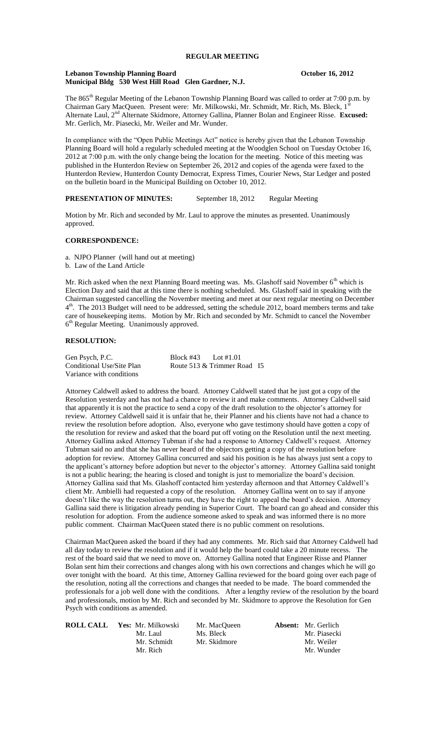#### **Lebanon Township Planning Board CEO COMPANY October 16, 2012 Municipal Bldg 530 West Hill Road Glen Gardner, N.J.**

The 865<sup>th</sup> Regular Meeting of the Lebanon Township Planning Board was called to order at 7:00 p.m. by Chairman Gary MacQueen. Present were: Mr. Milkowski, Mr. Schmidt, Mr. Rich, Ms. Bleck, 1' Alternate Laul, 2nd Alternate Skidmore, Attorney Gallina, Planner Bolan and Engineer Risse. **Excused:** Mr. Gerlich, Mr. Piasecki, Mr. Weiler and Mr. Wunder.

In compliance with the "Open Public Meetings Act" notice is hereby given that the Lebanon Township Planning Board will hold a regularly scheduled meeting at the Woodglen School on Tuesday October 16, 2012 at 7:00 p.m. with the only change being the location for the meeting. Notice of this meeting was published in the Hunterdon Review on September 26, 2012 and copies of the agenda were faxed to the Hunterdon Review, Hunterdon County Democrat, Express Times, Courier News, Star Ledger and posted on the bulletin board in the Municipal Building on October 10, 2012.

## **PRESENTATION OF MINUTES:** September 18, 2012 Regular Meeting

Motion by Mr. Rich and seconded by Mr. Laul to approve the minutes as presented. Unanimously approved.

### **CORRESPONDENCE:**

a. NJPO Planner (will hand out at meeting)

b. Law of the Land Article

Mr. Rich asked when the next Planning Board meeting was. Ms. Glashoff said November 6<sup>th</sup> which is Election Day and said that at this time there is nothing scheduled. Ms. Glashoff said in speaking with the Chairman suggested cancelling the November meeting and meet at our next regular meeting on December 4<sup>th</sup>. The 2013 Budget will need to be addressed, setting the schedule 2012, board members terms and take care of housekeeping items. Motion by Mr. Rich and seconded by Mr. Schmidt to cancel the November  $6<sup>th</sup>$  Regular Meeting. Unanimously approved.

### **RESOLUTION:**

| Gen Psych, P.C.           | Block #43 Lot #1.01 |                             |  |
|---------------------------|---------------------|-----------------------------|--|
| Conditional Use/Site Plan |                     | Route 513 & Trimmer Road I5 |  |
| Variance with conditions  |                     |                             |  |

Attorney Caldwell asked to address the board. Attorney Caldwell stated that he just got a copy of the Resolution yesterday and has not had a chance to review it and make comments. Attorney Caldwell said that apparently it is not the practice to send a copy of the draft resolution to the objector's attorney for review. Attorney Caldwell said it is unfair that he, their Planner and his clients have not had a chance to review the resolution before adoption. Also, everyone who gave testimony should have gotten a copy of the resolution for review and asked that the board put off voting on the Resolution until the next meeting. Attorney Gallina asked Attorney Tubman if she had a response to Attorney Caldwell's request. Attorney Tubman said no and that she has never heard of the objectors getting a copy of the resolution before adoption for review. Attorney Gallina concurred and said his position is he has always just sent a copy to the applicant's attorney before adoption but never to the objector's attorney. Attorney Gallina said tonight is not a public hearing; the hearing is closed and tonight is just to memorialize the board's decision. Attorney Gallina said that Ms. Glashoff contacted him yesterday afternoon and that Attorney Caldwell's client Mr. Ambielli had requested a copy of the resolution. Attorney Gallina went on to say if anyone doesn't like the way the resolution turns out, they have the right to appeal the board's decision. Attorney Gallina said there is litigation already pending in Superior Court. The board can go ahead and consider this resolution for adoption. From the audience someone asked to speak and was informed there is no more public comment. Chairman MacQueen stated there is no public comment on resolutions.

Chairman MacQueen asked the board if they had any comments. Mr. Rich said that Attorney Caldwell had all day today to review the resolution and if it would help the board could take a 20 minute recess. The rest of the board said that we need to move on. Attorney Gallina noted that Engineer Risse and Planner Bolan sent him their corrections and changes along with his own corrections and changes which he will go over tonight with the board. At this time, Attorney Gallina reviewed for the board going over each page of the resolution, noting all the corrections and changes that needed to be made. The board commended the professionals for a job well done with the conditions. After a lengthy review of the resolution by the board and professionals, motion by Mr. Rich and seconded by Mr. Skidmore to approve the Resolution for Gen Psych with conditions as amended.

| ROLL CALL_ | Yes: Mr. Milkowski | Mr. MacOueen | <b>Absent:</b> Mr. Gerlich |
|------------|--------------------|--------------|----------------------------|
|            | Mr. Laul           | Ms. Bleck    | Mr. Piasecki               |
|            | Mr. Schmidt        | Mr. Skidmore | Mr. Weiler                 |
|            | Mr. Rich           |              | Mr. Wunder                 |
|            |                    |              |                            |